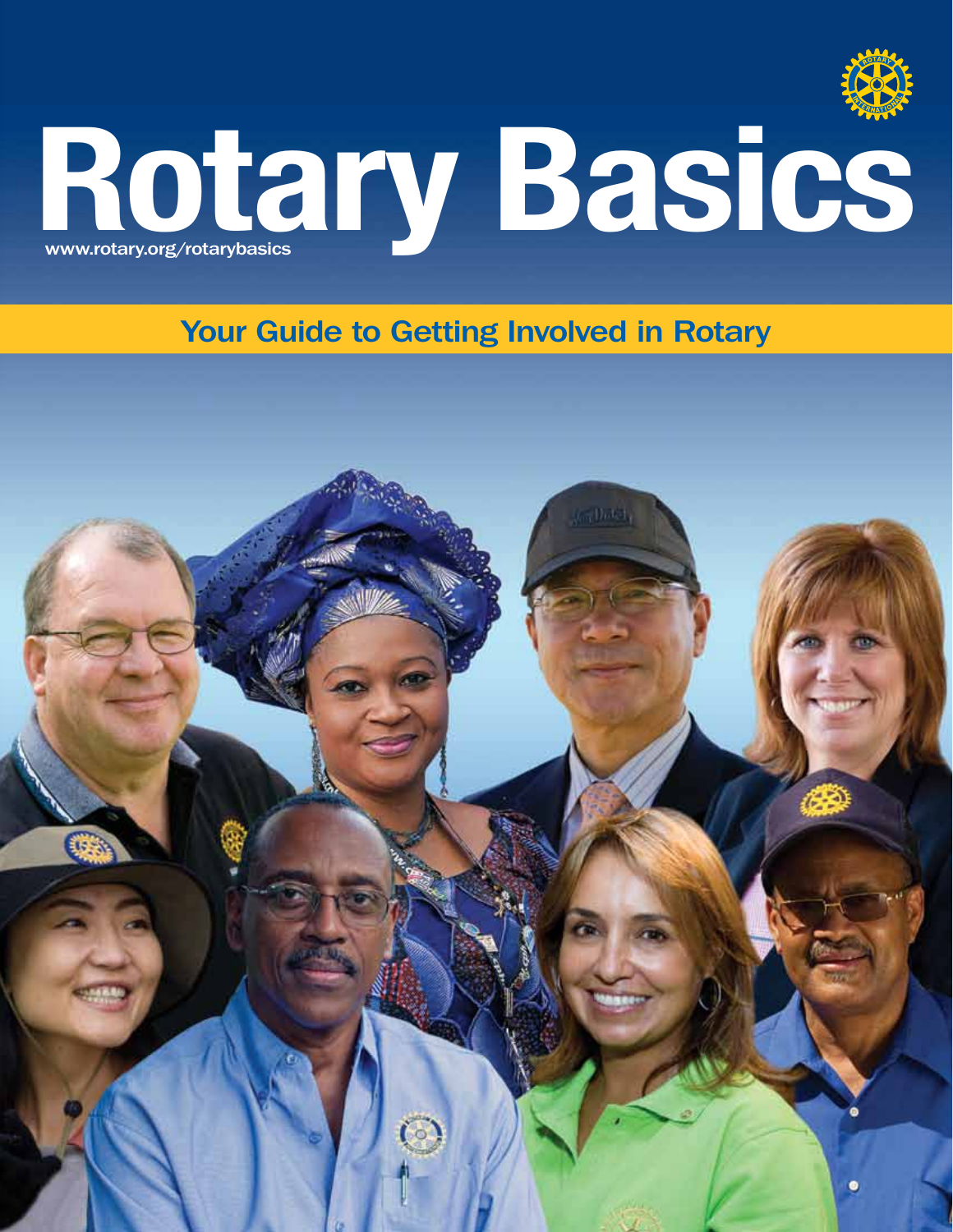

# Rotary Basics

Your Guide to Getting Involved in Rotary

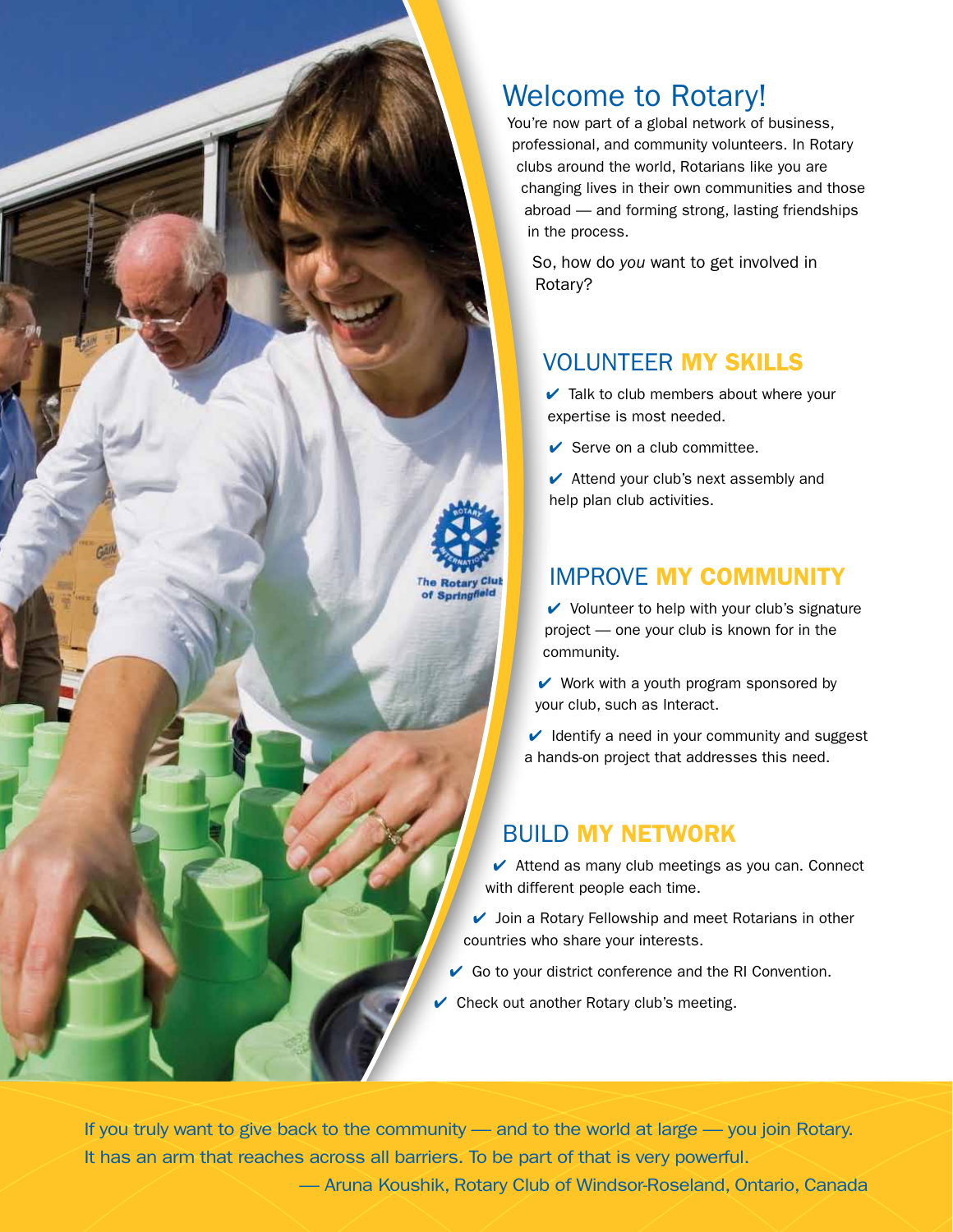

You're now part of a global network of business, professional, and community volunteers. In Rotary clubs around the world, Rotarians like you are changing lives in their own communities and those abroad — and forming strong, lasting friendships in the process.

So, how do you want to get involved in Rotary?

## VOLUNTEER MY SKILLS

 $\vee$  Talk to club members about where your expertise is most needed.

 $\triangleright$  Serve on a club committee.

 $\blacktriangleright$  Attend your club's next assembly and help plan club activities.

## IMPROVE MY COMMUNITY

 $\vee$  Volunteer to help with your club's signature project — one your club is known for in the community.

 $\vee$  Work with a youth program sponsored by your club, such as Interact.

 $\vee$  Identify a need in your community and suggest a hands-on project that addresses this need.

## BUILD MY NETWORK

 $\blacktriangleright$  Attend as many club meetings as you can. Connect with different people each time.

 $\vee$  Join a Rotary Fellowship and meet Rotarians in other countries who share your interests.

 $\vee$  Go to your district conference and the RI Convention.

 $\vee$  Check out another Rotary club's meeting.

If you truly want to give back to the community — and to the world at large — you join Rotary. It has an arm that reaches across all barriers. To be part of that is very powerful.

of Springfield

— Aruna Koushik, Rotary Club of Windsor-Roseland, Ontario, Canada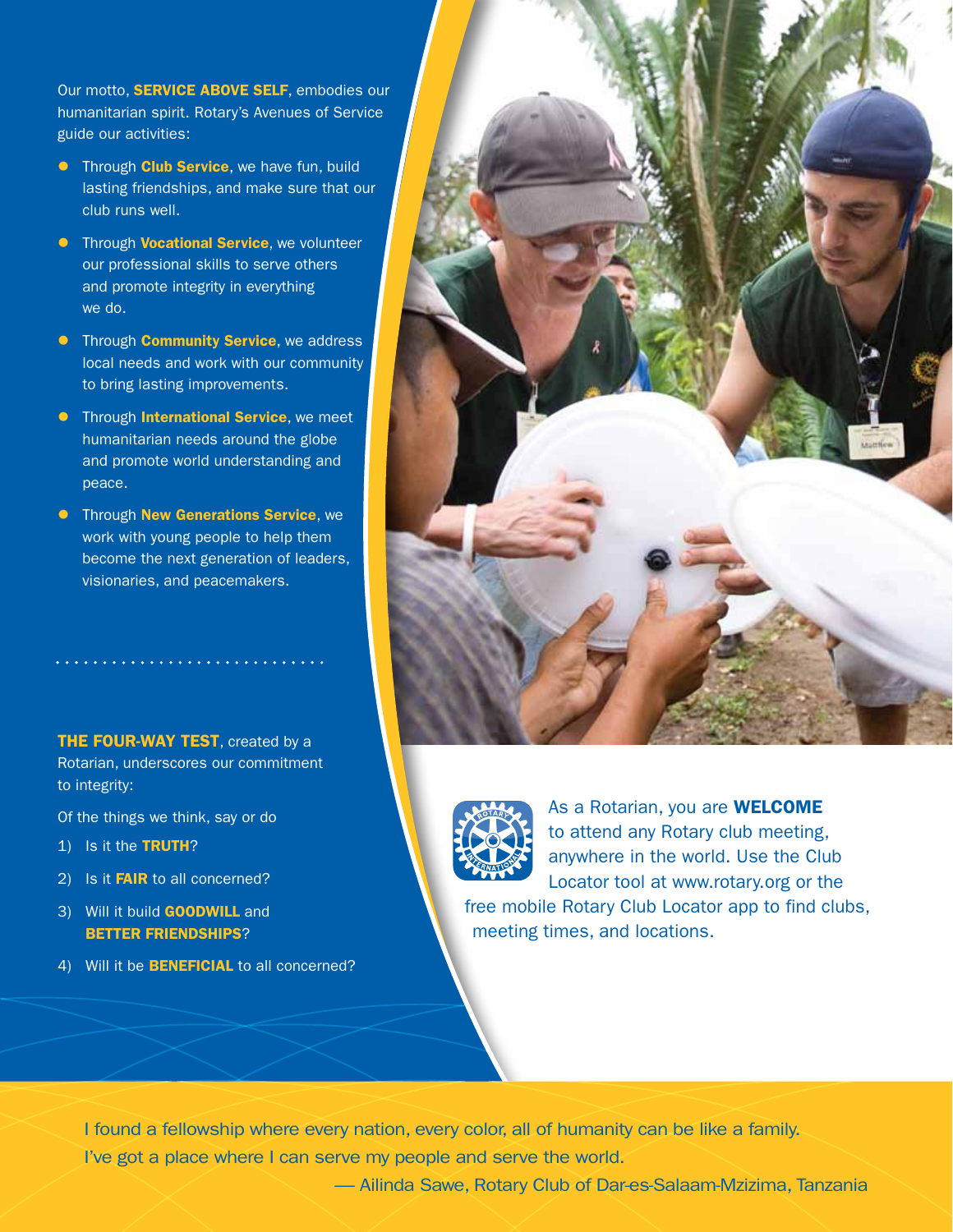Our motto, **SERVICE ABOVE SELF**, embodies our humanitarian spirit. Rotary's Avenues of Service guide our activities:

- **•** Through **Club Service**, we have fun, build lasting friendships, and make sure that our club runs well.
- **•** Through **Vocational Service**, we volunteer our professional skills to serve others and promote integrity in everything we do.
- **•** Through **Community Service**, we address local needs and work with our community to bring lasting improvements.
- **•** Through **International Service**, we meet humanitarian needs around the globe and promote world understanding and peace.
- **•** Through New Generations Service, we work with young people to help them become the next generation of leaders, visionaries, and peacemakers.

**THE FOUR-WAY TEST, created by a** Rotarian, underscores our commitment to integrity:

Of the things we think, say or do

- 1) Is it the TRUTH?
- 2) Is it **FAIR** to all concerned?
- 3) Will it build **GOODWILL** and BETTER FRIENDSHIPS?
- 4) Will it be **BENEFICIAL** to all concerned?





As a Rotarian, you are **WELCOME** to attend any Rotary club meeting, anywhere in the world. Use the Club Locator tool at www.rotary.org or the

free mobile Rotary Club Locator app to find clubs, meeting times, and locations.

I found a fellowship where every nation, every color, all of humanity can be like a family. I've got a place where I can serve my people and serve the world.

— Ailinda Sawe, Rotary Club of Dar-es-Salaam-Mzizima, Tanzania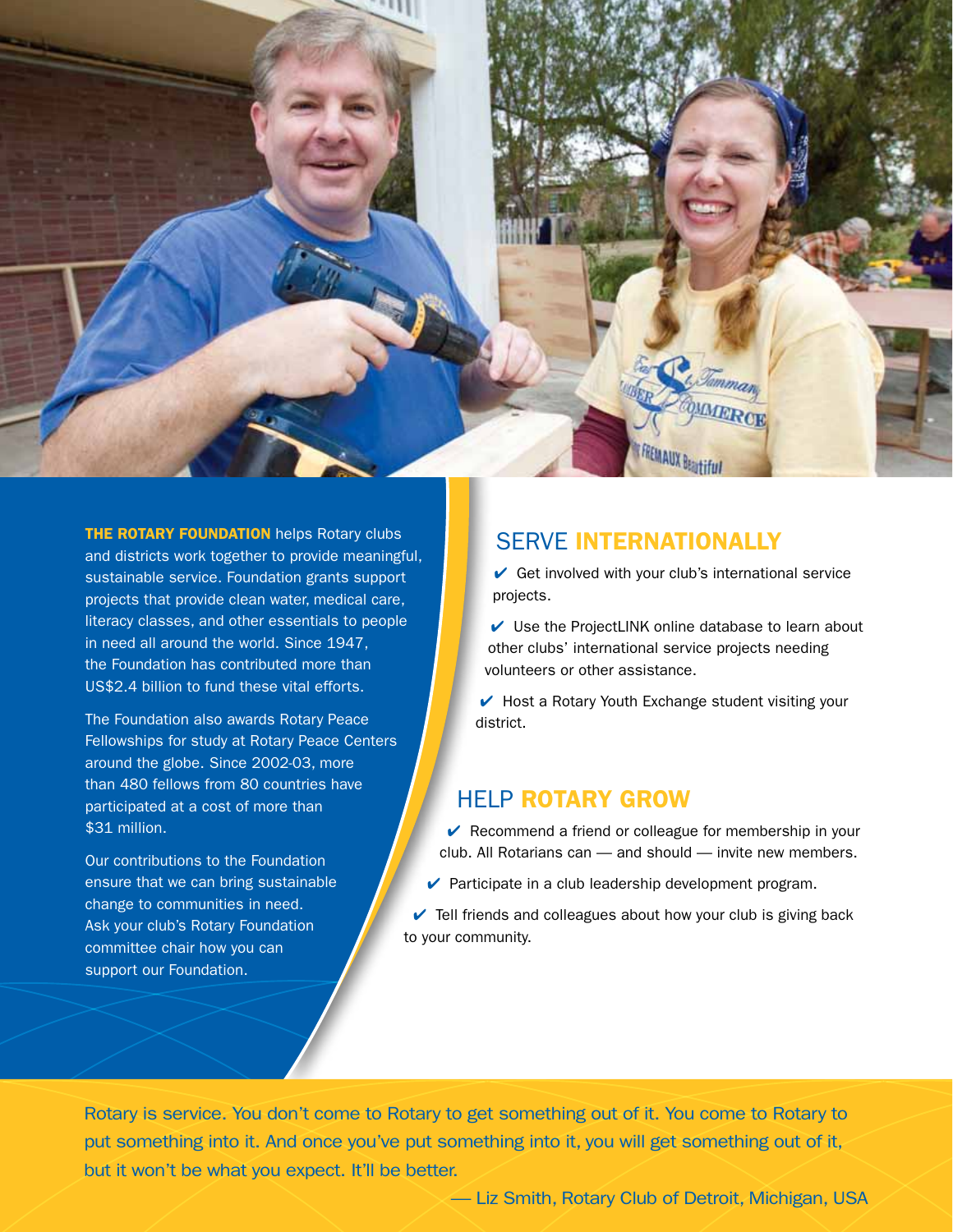

**THE ROTARY FOUNDATION** helps Rotary clubs and districts work together to provide meaningful, sustainable service. Foundation grants support projects that provide clean water, medical care, literacy classes, and other essentials to people in need all around the world. Since 1947, the Foundation has contributed more than US\$2.4 billion to fund these vital efforts.

The Foundation also awards Rotary Peace Fellowships for study at Rotary Peace Centers around the globe. Since 2002-03, more than 480 fellows from 80 countries have participated at a cost of more than \$31 million.

Our contributions to the Foundation ensure that we can bring sustainable change to communities in need. Ask your club's Rotary Foundation committee chair how you can support our Foundation.

## SERVE INTERNATIONALLY

 $\vee$  Get involved with your club's international service projects.

 $\vee$  Use the ProjectLINK online database to learn about other clubs' international service projects needing volunteers or other assistance.

 $\blacktriangleright$  Host a Rotary Youth Exchange student visiting your district.

#### HELP ROTARY GROW

 $\vee$  Recommend a friend or colleague for membership in your club. All Rotarians can — and should — invite new members.

- $\vee$  Participate in a club leadership development program.
- $\vee$  Tell friends and colleagues about how your club is giving back to your community.

Rotary is service. You don't come to Rotary to get something out of it. You come to Rotary to put something into it. And once you've put something into it, you will get something out of it, but it won't be what you expect. It'll be better.

— Liz Smith, Rotary Club of Detroit, Michigan, USA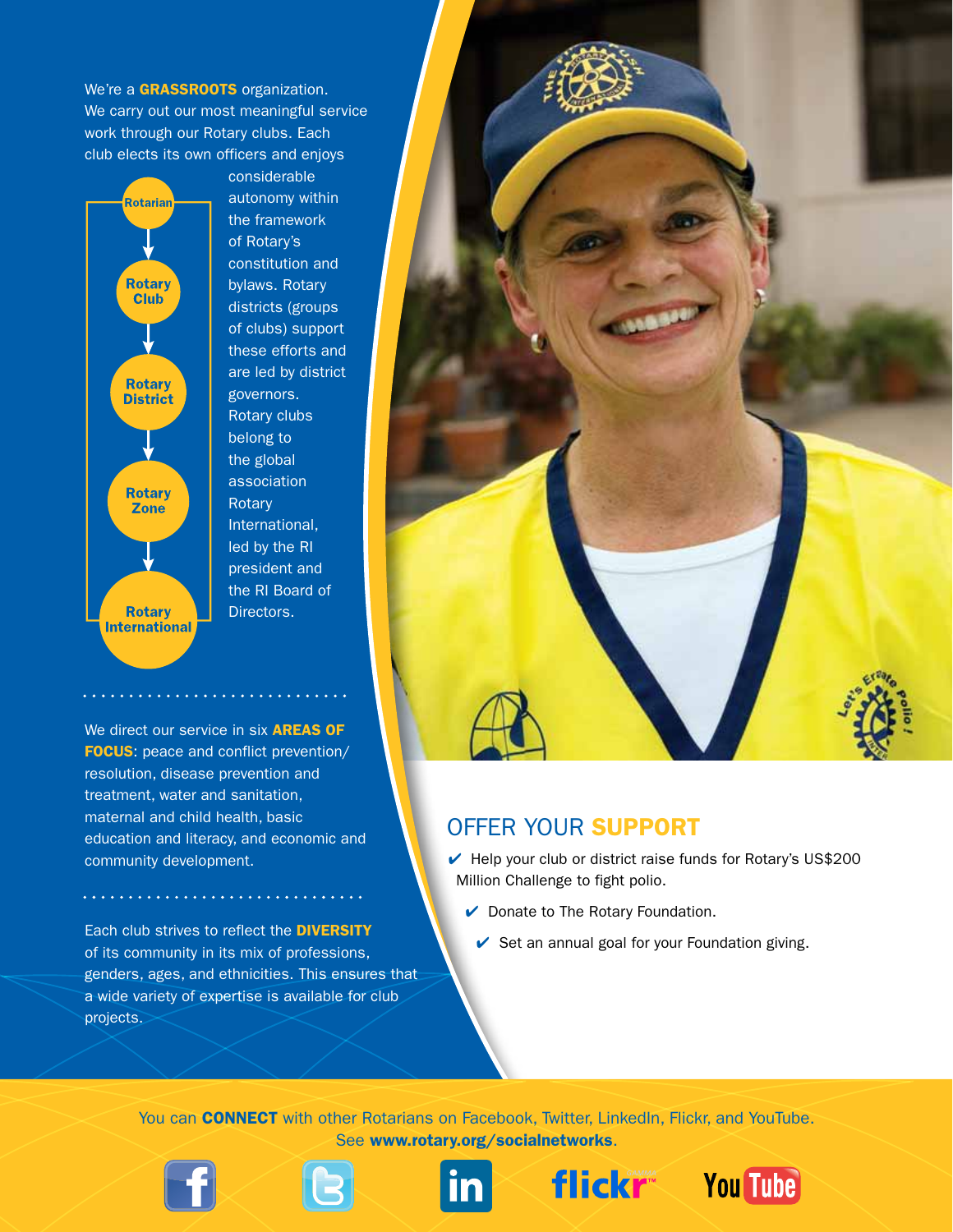We're a GRASSROOTS organization. We carry out our most meaningful service work through our Rotary clubs. Each club elects its own officers and enjoys



considerable autonomy within the framework of Rotary's constitution and bylaws. Rotary districts (groups of clubs) support these efforts and are led by district governors. Rotary clubs belong to the global association **Rotary** International, led by the RI president and the RI Board of Directors.

We direct our service in six **AREAS OF** FOCUS: peace and conflict prevention/ resolution, disease prevention and treatment, water and sanitation, maternal and child health, basic education and literacy, and economic and community development.

Each club strives to reflect the DIVERSITY of its community in its mix of professions, genders, ages, and ethnicities. This ensures that a wide variety of expertise is available for club projects.



# OFFER YOUR SUPPORT

- $\blacktriangleright$  Help your club or district raise funds for Rotary's US\$200 Million Challenge to fight polio.
	- $\vee$  Donate to The Rotary Foundation.
		- $\vee$  Set an annual goal for your Foundation giving.

You can **CONNECT** with other Rotarians on Facebook, Twitter, LinkedIn, Flickr, and YouTube. See www.rotary.org/socialnetworks.









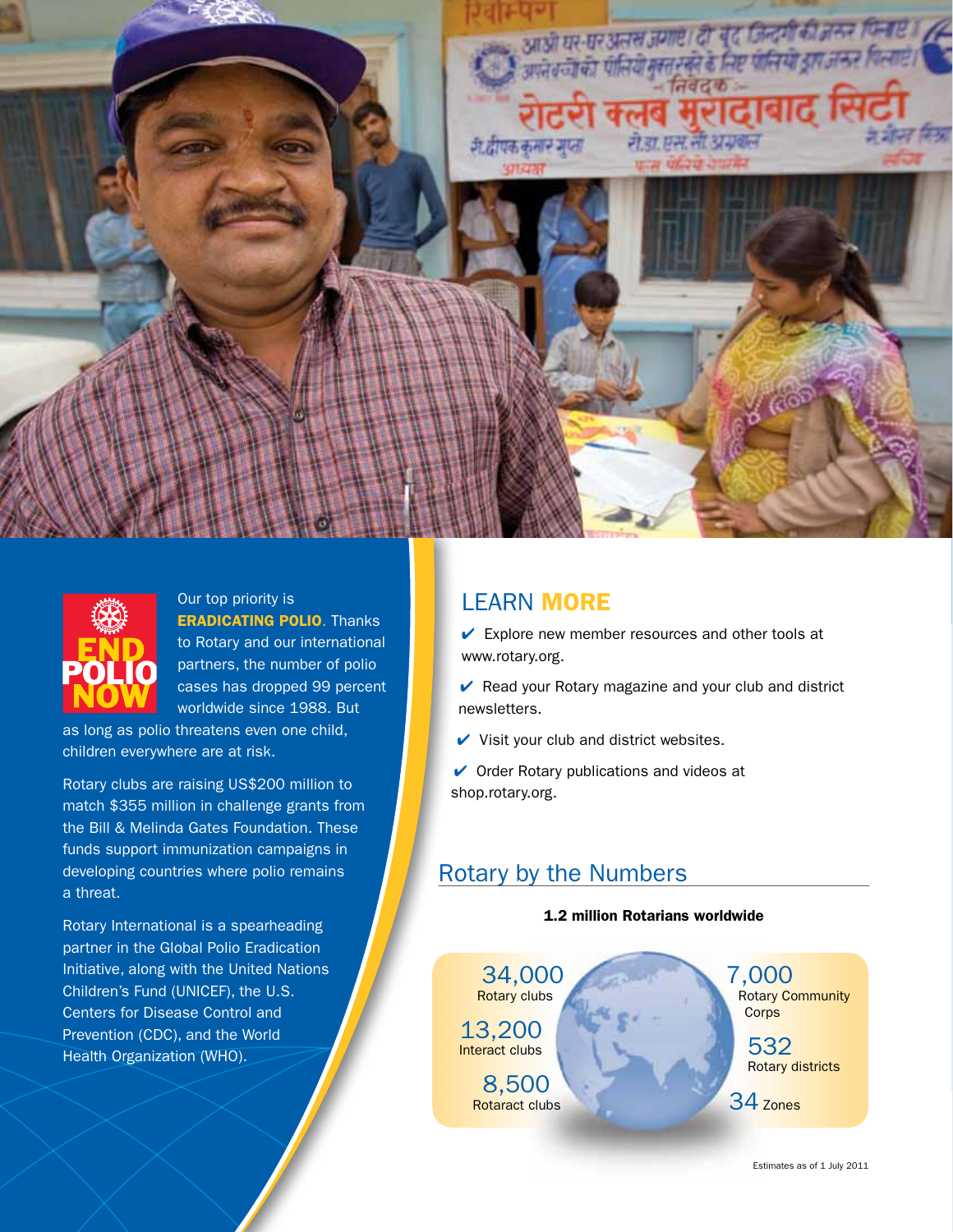



Our top priority is ERADICATING POLIO. Thanks to Rotary and our international partners, the number of polio cases has dropped 99 percent worldwide since 1988. But

as long as polio threatens even one child, children everywhere are at risk.

Rotary clubs are raising US\$200 million to match \$355 million in challenge grants from the Bill & Melinda Gates Foundation. These funds support immunization campaigns in developing countries where polio remains a threat.

Rotary International is a spearheading partner in the Global Polio Eradication Initiative, along with the United Nations Children's Fund (UNICEF), the U.S. Centers for Disease Control and Prevention (CDC), and the World Health Organization (WHO).

# LEARN MORE

 $\triangleright$  Explore new member resources and other tools at www.rotary.org.

Read your Rotary magazine and your club and district newsletters.

 $\vee$  Visit your club and district websites.

 $\vee$  Order Rotary publications and videos at shop.rotary.org.

# Rotary by the Numbers

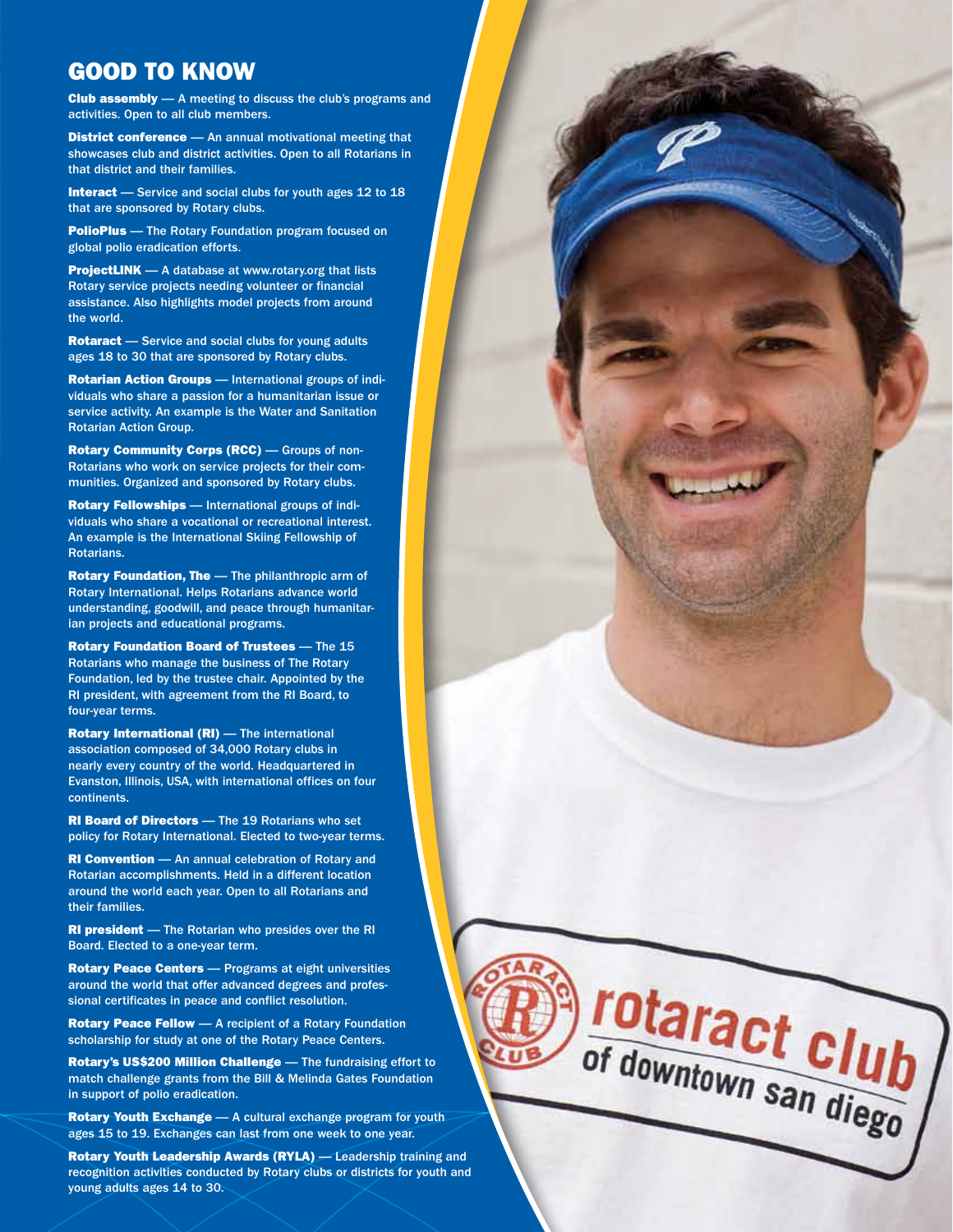## GOOD TO KNOW

Club assembly — A meeting to discuss the club's programs and activities. Open to all club members.

**District conference** - An annual motivational meeting that showcases club and district activities. Open to all Rotarians in that district and their families.

Interact - Service and social clubs for youth ages 12 to 18 that are sponsored by Rotary clubs.

**PolioPlus** — The Rotary Foundation program focused on global polio eradication efforts.

ProjectLINK — A database at www.rotary.org that lists Rotary service projects needing volunteer or financial assistance. Also highlights model projects from around the world.

Rotaract - Service and social clubs for young adults ages 18 to 30 that are sponsored by Rotary clubs.

Rotarian Action Groups — International groups of individuals who share a passion for a humanitarian issue or service activity. An example is the Water and Sanitation Rotarian Action Group.

Rotary Community Corps (RCC) — Groups of non-Rotarians who work on service projects for their communities. Organized and sponsored by Rotary clubs.

Rotary Fellowships — International groups of individuals who share a vocational or recreational interest. An example is the International Skiing Fellowship of Rotarians.

Rotary Foundation, The - The philanthropic arm of Rotary International. Helps Rotarians advance world understanding, goodwill, and peace through humanitarian projects and educational programs.

Rotary Foundation Board of Trustees — The 15 Rotarians who manage the business of The Rotary Foundation, led by the trustee chair. Appointed by the RI president, with agreement from the RI Board, to four-year terms.

Rotary International (RI) — The international association composed of 34,000 Rotary clubs in nearly every country of the world. Headquartered in Evanston, Illinois, USA, with international offices on four continents.

RI Board of Directors — The 19 Rotarians who set policy for Rotary International. Elected to two-year terms.

**RI Convention** — An annual celebration of Rotary and Rotarian accomplishments. Held in a different location around the world each year. Open to all Rotarians and their families.

RI president — The Rotarian who presides over the RI Board. Elected to a one-year term.

Rotary Peace Centers - Programs at eight universities around the world that offer advanced degrees and professional certificates in peace and conflict resolution.

Rotary Peace Fellow — A recipient of a Rotary Foundation scholarship for study at one of the Rotary Peace Centers.

Rotary's US\$200 Million Challenge — The fundraising effort to match challenge grants from the Bill & Melinda Gates Foundation in support of polio eradication.

rotaract club<br>of downtown san diego

Rotary Youth Exchange - A cultural exchange program for youth ages 15 to 19. Exchanges can last from one week to one year.

Rotary Youth Leadership Awards (RYLA) — Leadership training and recognition activities conducted by Rotary clubs or districts for youth and young adults ages 14 to 30.